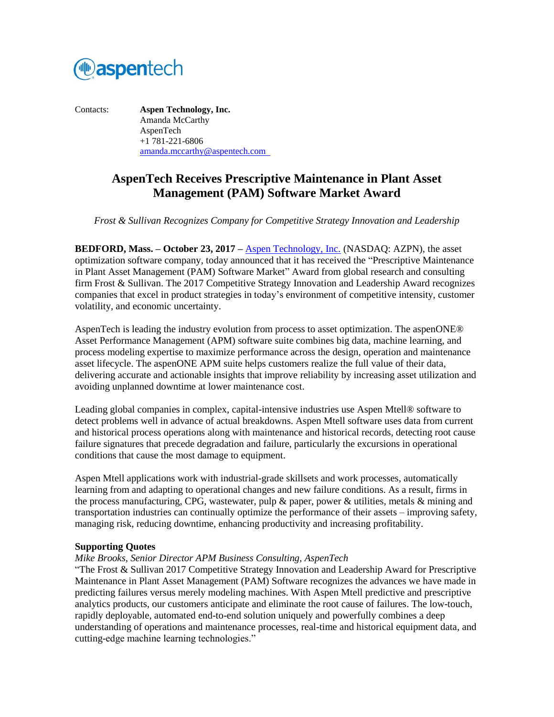

Contacts: **Aspen Technology, Inc.** Amanda McCarthy AspenTech +1 781-221-6806 [amanda.mccarthy@aspentech.com](mailto:amanda.mccarthy@aspentech.com) 

# **AspenTech Receives Prescriptive Maintenance in Plant Asset Management (PAM) Software Market Award**

*Frost & Sullivan Recognizes Company for Competitive Strategy Innovation and Leadership*

**BEDFORD, Mass. – October 23, 2017 –** [Aspen Technology, Inc.](http://www.aspentech.com/) (NASDAQ: AZPN), the asset optimization software company, today announced that it has received the "Prescriptive Maintenance in Plant Asset Management (PAM) Software Market" Award from global research and consulting firm Frost & Sullivan. The 2017 Competitive Strategy Innovation and Leadership Award recognizes companies that excel in product strategies in today's environment of competitive intensity, customer volatility, and economic uncertainty.

AspenTech is leading the industry evolution from process to asset optimization. The aspenONE® Asset Performance Management (APM) software suite combines big data, machine learning, and process modeling expertise to maximize performance across the design, operation and maintenance asset lifecycle. The aspenONE APM suite helps customers realize the full value of their data, delivering accurate and actionable insights that improve reliability by increasing asset utilization and avoiding unplanned downtime at lower maintenance cost.

Leading global companies in complex, capital-intensive industries use Aspen Mtell® software to detect problems well in advance of actual breakdowns. Aspen Mtell software uses data from current and historical process operations along with maintenance and historical records, detecting root cause failure signatures that precede degradation and failure, particularly the excursions in operational conditions that cause the most damage to equipment.

Aspen Mtell applications work with industrial-grade skillsets and work processes, automatically learning from and adapting to operational changes and new failure conditions. As a result, firms in the process manufacturing, CPG, wastewater, pulp  $\&$  paper, power  $\&$  utilities, metals  $\&$  mining and transportation industries can continually optimize the performance of their assets – improving safety, managing risk, reducing downtime, enhancing productivity and increasing profitability.

## **Supporting Quotes**

#### *Mike Brooks, Senior Director APM Business Consulting, AspenTech*

"The Frost & Sullivan 2017 Competitive Strategy Innovation and Leadership Award for Prescriptive Maintenance in Plant Asset Management (PAM) Software recognizes the advances we have made in predicting failures versus merely modeling machines. With Aspen Mtell predictive and prescriptive analytics products, our customers anticipate and eliminate the root cause of failures. The low-touch, rapidly deployable, automated end-to-end solution uniquely and powerfully combines a deep understanding of operations and maintenance processes, real-time and historical equipment data, and cutting-edge machine learning technologies."